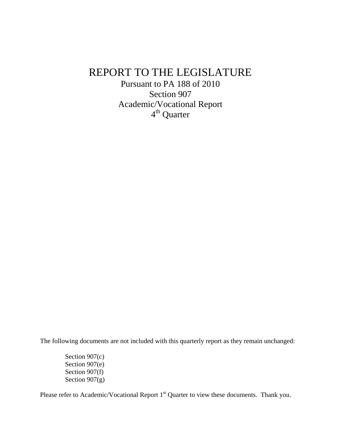## REPORT TO THE LEGISLATURE

Pursuant to PA 188 of 2010 Section 907 Academic/Vocational Report 4<sup>th</sup> Quarter

The following documents are not included with this quarterly report as they remain unchanged:

Section 907(c) Section 907(e) Section 907(f) Section  $907(g)$ 

Please refer to Academic/Vocational Report 1<sup>st</sup> Quarter to view these documents. Thank you.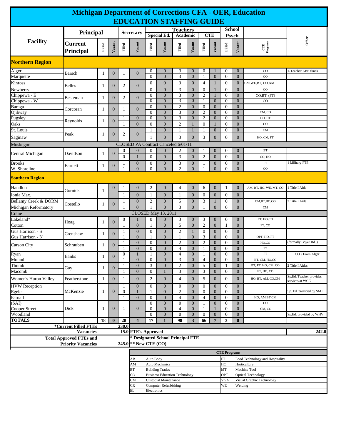| <b>Michigan Department of Corrections CFA - OER, Education</b><br><b>EDUCATION STAFFING GUIDE</b>                                                                               |                             |              |                              |                              |                                      |                                                                                      |                                                  |                                    |                                              |                                    |                                              |                                                        |                                                      |                                                                             |                                            |  |  |  |  |
|---------------------------------------------------------------------------------------------------------------------------------------------------------------------------------|-----------------------------|--------------|------------------------------|------------------------------|--------------------------------------|--------------------------------------------------------------------------------------|--------------------------------------------------|------------------------------------|----------------------------------------------|------------------------------------|----------------------------------------------|--------------------------------------------------------|------------------------------------------------------|-----------------------------------------------------------------------------|--------------------------------------------|--|--|--|--|
|                                                                                                                                                                                 | Principal                   |              |                              |                              | <b>Secretary</b>                     |                                                                                      | <b>Special Ed.</b>                               | <b>Teachers</b><br>Academic        |                                              |                                    | <b>CTE</b>                                   | <b>School</b><br>Psych                                 |                                                      |                                                                             |                                            |  |  |  |  |
| <b>Facility</b>                                                                                                                                                                 | <b>Current</b><br>Principal | Filled       | Vacant                       | Filled                       | Vacant                               | Filled                                                                               | Vacant                                           | Filled                             | Vacant                                       | Filled                             | Vacant                                       | Filled                                                 | Vacant                                               | $\frac{\text{CTE}}{\text{ProgramS}}$                                        | Other                                      |  |  |  |  |
| <b>Northern Region</b>                                                                                                                                                          |                             |              |                              |                              |                                      |                                                                                      |                                                  |                                    |                                              |                                    |                                              |                                                        |                                                      |                                                                             |                                            |  |  |  |  |
| Alger                                                                                                                                                                           | Barsch                      | $\mathbf{1}$ | $\mathbf{0}$                 | 1                            | $\mathbf{0}$                         | $\bf{0}$                                                                             | $\mathbf{0}$                                     | 3                                  | $\mathbf{0}$                                 | $\theta$                           | $\mathbf 1$                                  | 0                                                      | $\mathbf{0}$                                         | $_{\rm CO}$                                                                 | -Teacher ABE funds                         |  |  |  |  |
| Marquette<br>Kinross<br>Newberry                                                                                                                                                | Belles                      | 1            | $\mathbf{0}$                 | 2                            | $\mathbf{0}$                         | $\Omega$<br>$\boldsymbol{0}$<br>$\overline{0}$                                       | $\overline{0}$<br>$\mathbf{0}$<br>$\overline{0}$ | 3<br>3<br>3                        | $\mathbf{0}$<br>$\mathbf{0}$<br>$\mathbf{0}$ | 1<br>4<br>$\mathbf{0}$             | $\mathbf{0}$<br>$\mathbf{1}$<br>$\mathbf{1}$ | $\overline{0}$<br>$\boldsymbol{0}$<br>$\boldsymbol{0}$ | $\overline{0}$<br>$\boldsymbol{0}$<br>$\overline{0}$ | $_{\rm CO}$<br>CM, WE, BT, CO, AM<br>$_{\rm CO}$                            |                                            |  |  |  |  |
| Chippewa - E<br>Chippewa - W                                                                                                                                                    | Besteman                    | 1            | $\boldsymbol{0}$             | $\overline{2}$               | $\boldsymbol{0}$                     | $\overline{0}$<br>$\Omega$                                                           | $\boldsymbol{0}$<br>$\theta$                     | $\mathfrak{Z}$<br>$\overline{3}$   | $\boldsymbol{0}$<br>$\mathbf{0}$             | $\mathfrak{2}$<br>1                | -1<br>$\Omega$                               | $\boldsymbol{0}$<br>$\mathbf{0}$                       | $\mathbf{0}$<br>$\overline{0}$                       | CO,BT, (FT)<br>CO                                                           |                                            |  |  |  |  |
| Baraga<br>Ojibway                                                                                                                                                               | Corcoran                    | $\mathbf{1}$ | $\overline{0}$               | 1                            | $\mathbf{0}$                         | $\overline{0}$<br>$\Omega$                                                           | $\boldsymbol{0}$<br>$\overline{0}$               | $\overline{c}$<br>3                | $\overline{0}$<br>$\overline{0}$             | $\boldsymbol{0}$<br>$\mathfrak{2}$ | $\mathbf{0}$<br>$\mathbf{0}$                 | $\boldsymbol{0}$<br>$\overline{0}$                     | $\overline{0}$<br>$\Omega$                           | CM, CO                                                                      |                                            |  |  |  |  |
| Pugsley<br>Oaks                                                                                                                                                                 | Reynolds                    | 1            | $\mathbf{0}$                 | 1<br>1                       | $\mathbf{0}$<br>$\overline{0}$       | $\overline{0}$<br>$\Omega$                                                           | $\boldsymbol{0}$<br>$\overline{0}$               | 3<br>$\mathbf{2}$                  | $\mathbf{0}$<br>$\mathbf{1}$                 | 2<br>$\overline{0}$                | $\mathbf{0}$<br>$\mathbf{1}$                 | $\boldsymbol{0}$<br>$\mathbf{0}$                       | $\overline{0}$<br>$\overline{0}$                     | CO, BT<br>$_{\rm CO}$                                                       |                                            |  |  |  |  |
| St. Louis<br>Saginaw                                                                                                                                                            | Peak                        | 1            | $\overline{0}$               | 2                            | $\mathbf{0}$                         | 1<br>1                                                                               | $\boldsymbol{0}$<br>$\overline{0}$               | $\mathbf{1}$<br>3                  | $\mathbf{1}$<br>$\mathbf{0}$                 | 1<br>3                             | $\mathbf{0}$<br>$\mathbf{0}$                 | $\boldsymbol{0}$<br>$\mathbf{0}$                       | $\mathbf{0}$<br>$\overline{0}$                       | CM<br>HO, CM, FT                                                            |                                            |  |  |  |  |
| Muskegon                                                                                                                                                                        |                             |              |                              |                              | CLOSED PA Contract Canceled 6/01/11  |                                                                                      |                                                  |                                    |                                              |                                    |                                              |                                                        |                                                      |                                                                             |                                            |  |  |  |  |
| Central Michigan                                                                                                                                                                | Davidson                    | 1            | $\mathbf{0}$                 | 0<br>$\mathbf{0}$            | $\mathbf{0}$<br>1                    | $\overline{0}$<br>$\mathbf{0}$                                                       | $\mathbf{0}$<br>$\boldsymbol{0}$                 | $\overline{2}$<br>$\mathfrak{Z}$   | $\mathbf{0}$<br>$\mathbf{0}$                 | $\mathbf{2}$                       | $\mathbf{0}$<br>$\boldsymbol{0}$             | 0<br>$\mathbf{0}$                                      | $\overline{0}$<br>$\overline{0}$                     | <b>BT</b><br>CO, HO                                                         |                                            |  |  |  |  |
| <b>Brooks</b>                                                                                                                                                                   | Barnett                     | 1            | $\mathbf{0}$                 | 1                            | $\mathbf{0}$                         | $\overline{0}$                                                                       | $\mathbf{0}$                                     | 3<br>$\overline{2}$                | $\mathbf{0}$                                 | 1                                  | $\mathbf{0}$                                 | 0                                                      | $\mathbf{0}$                                         | $_{\rm FT}$                                                                 | <b>Military FTE</b>                        |  |  |  |  |
| W. Shoreline<br>$\overline{0}$<br>$\overline{0}$<br>$\mathbf{0}$<br>$\mathbf{0}$<br>$\overline{0}$<br>$\overline{0}$<br>$\overline{0}$<br>$_{\rm CO}$<br><b>Southern Region</b> |                             |              |                              |                              |                                      |                                                                                      |                                                  |                                    |                                              |                                    |                                              |                                                        |                                                      |                                                                             |                                            |  |  |  |  |
| Handlon                                                                                                                                                                         | Gornick                     | 1            | $\boldsymbol{0}$             | $\mathbf{1}$                 | $\mathbf{0}$                         | 2                                                                                    | $\boldsymbol{0}$                                 | $\overline{4}$                     | $\mathbf{0}$                                 | 6                                  | $\mathbf{0}$                                 | 1                                                      | $\overline{0}$                                       | AM, BT, HO, WE, MT, CO                                                      | Title I Aide                               |  |  |  |  |
| Ionia Max.                                                                                                                                                                      |                             |              |                              | -1                           | $\overline{0}$                       | 1                                                                                    | $\overline{0}$                                   | $\mathbf{1}$                       | $\mathbf{0}$                                 | $\mathbf{0}$                       | $\overline{0}$                               | $\overline{0}$                                         | $\overline{0}$                                       |                                                                             |                                            |  |  |  |  |
| Bellamy Creek & DORM<br>Michigan Reformatory                                                                                                                                    | Costello                    | 1            | $\mathbf{0}$                 | 1                            | $\mathbf{0}$<br>$\theta$             | $\overline{2}$<br>1                                                                  | $\boldsymbol{0}$<br>$\overline{0}$               | 5<br>3                             | $\mathbf{0}$<br>$\Omega$                     | 3<br>1                             | $\mathbf{1}$<br>$\Omega$                     | $\boldsymbol{0}$<br>$\Omega$                           | $\mathbf{0}$<br>$\Omega$                             | CM,BT,HO,CO<br><b>CM</b>                                                    | 2 Title I Aide                             |  |  |  |  |
| Crane                                                                                                                                                                           |                             |              |                              |                              |                                      |                                                                                      | CLOSED May 13, 2011                              |                                    |                                              |                                    |                                              |                                                        |                                                      |                                                                             |                                            |  |  |  |  |
| Lakeland <sup>*</sup><br>Cotton                                                                                                                                                 | Hoag                        | 1            | $\mathbf{0}$                 | $\mathbf{0}$                 | 1<br>$\overline{0}$                  | $\mathbf{0}$<br>1                                                                    | $\boldsymbol{0}$<br>$\overline{0}$               | 3<br>5                             | $\mathbf{0}$<br>$\mathbf{0}$                 | 3<br>$\overline{2}$                | $\mathbf{0}$<br>$\mathbf{0}$                 | $\boldsymbol{0}$<br>1                                  | $\overline{0}$<br>$\overline{0}$                     | FT, HO,CO<br>FT, CO                                                         |                                            |  |  |  |  |
| Gus Harrison - S<br>Gus Harrison - N                                                                                                                                            | Crenshaw                    | 1            | $\boldsymbol{0}$             | 1                            | $\mathbf{0}$<br>$\overline{0}$       | $\mathbf{0}$<br>1                                                                    | $\boldsymbol{0}$<br>$\overline{0}$               | $\mathfrak{2}$<br>$\mathbf{1}$     | $\mathbf{1}$<br>$\mathbf{0}$                 | $\overline{0}$<br>3                | $\mathbf{0}$<br>$\mathbf{0}$                 | $\mathbf{0}$<br>$\mathbf{0}$                           | $\overline{0}$<br>$\overline{0}$                     | OPT, HO, FT                                                                 |                                            |  |  |  |  |
| Carson City                                                                                                                                                                     | Schrauben                   | 1            | $\boldsymbol{0}$             | 1                            | $\mathbf{0}$<br>$\overline{0}$       | $\overline{0}$<br>$\mathbf{0}$                                                       | $\overline{0}$<br>$\overline{0}$                 | $\overline{c}$<br>$\overline{4}$   | $\overline{0}$<br>$\mathbf{0}$               | 2                                  | $\mathbf{0}$<br>$\mathbf{0}$                 | $\overline{0}$<br>$\mathbf{0}$                         | $\overline{0}$<br>$\overline{0}$                     | HO,CO<br>${\rm FT}$                                                         | (formally Boyer Rd.,)                      |  |  |  |  |
| Ryan<br>Mound                                                                                                                                                                   | <b>Banks</b>                | $\mathbf{1}$ | $\boldsymbol{0}$             | $\overline{0}$               | $\mathbf{1}$<br>$\boldsymbol{0}$     | $\mathbf{1}$<br>$\boldsymbol{0}$                                                     | $\boldsymbol{0}$<br>$\boldsymbol{0}$             | $\overline{\mathcal{A}}$<br>3      | $\overline{0}$<br>$\mathbf{0}$               | 1<br>4                             | $\boldsymbol{0}$<br>$\mathbf{0}$             | $\overline{0}$<br>$\boldsymbol{0}$                     | $\boldsymbol{0}$<br>$\overline{0}$                   | ${\rm FT}$<br>BT, CM, HO,CO                                                 | CO ? From Alger                            |  |  |  |  |
| Thumb                                                                                                                                                                           | Gay                         | $\mathbf{1}$ | $\mathbf{0}$                 |                              | $\boldsymbol{0}$                     | 3                                                                                    | $\boldsymbol{0}$                                 | $\mathbf{2}$                       | $\mathbf{0}$                                 | 5                                  | $\mathbf{0}$                                 | 1                                                      | $\mathbf{0}$                                         | BT, FT, HO, CM, CO<br>FT, HO, CO                                            | Title I Aides                              |  |  |  |  |
| Macomb<br>Women's Huron Valley                                                                                                                                                  | Featherstone                | $\mathbf{1}$ | $\mathbf{0}$                 | $\mathbf{1}$                 | $\boldsymbol{0}$<br>$\boldsymbol{0}$ | $\mathbf{0}$<br>$\overline{c}$                                                       | $\boldsymbol{0}$                                 | $\mathfrak{Z}$<br>$\overline{4}$   | $\mathbf{0}$<br>$\mathbf{0}$                 | 3<br>5                             | $\mathbf{0}$<br>$\boldsymbol{0}$             | $\boldsymbol{0}$<br>$\mathbf{0}$                       | $\overline{0}$<br>$\overline{0}$                     | HO, BT, AM, CO,CM                                                           | Sp.Ed. Teacher provides                    |  |  |  |  |
| <b>HVW</b> Reception<br>Egeler                                                                                                                                                  | McKenzie                    | 1            | $\mathbf{0}$                 | $\mathbf{1}$<br>$\mathbf{0}$ | $\boldsymbol{0}$<br>1                | $\boldsymbol{0}$<br>1                                                                | $\boldsymbol{0}$<br>$\boldsymbol{0}$             | $\boldsymbol{0}$<br>$\sqrt{2}$     | $\mathbf{0}$<br>$\mathbf{0}$                 | 0<br>0                             | $\mathbf{0}$<br>$\mathbf{0}$                 | $\boldsymbol{0}$<br>$\boldsymbol{0}$                   | $\mathbf{0}$<br>$\mathbf{0}$                         |                                                                             | services at WCC<br>Sp. Ed. provided by SMT |  |  |  |  |
| Parnall<br>(SAI)                                                                                                                                                                |                             |              |                              | 1                            | $\mathbf{0}$                         | $\mathbf{0}$<br>0                                                                    | $\mathbf{0}$<br>$\boldsymbol{0}$                 | $\overline{4}$<br>$\boldsymbol{0}$ | $\boldsymbol{0}$<br>$\mathbf{0}$             | $\overline{4}$                     | $\mathbf{0}$<br>$\mathbf{0}$                 | $\boldsymbol{0}$<br>$\boldsymbol{0}$                   | $\overline{0}$<br>$\mathbf{0}$                       | HO, AM, BT, CM<br>$_{\rm CO}$                                               |                                            |  |  |  |  |
| Cooper Street<br>Woodland                                                                                                                                                       | Dick                        | 1            | $\boldsymbol{0}$             | 1                            | $\boldsymbol{0}$                     | $\overline{0}$<br>$\mathbf{0}$                                                       | $\boldsymbol{0}$<br>$\boldsymbol{0}$             | $\overline{4}$<br>$\boldsymbol{0}$ | $\overline{0}$<br>$\overline{0}$             | 0                                  | 1<br>$\mathbf{0}$                            | $\boldsymbol{0}$<br>$\boldsymbol{0}$                   | $\overline{0}$<br>$\mathbf{0}$                       | CM, CO                                                                      | Sp.Ed. provided by WHV                     |  |  |  |  |
| <b>TOTALS</b>                                                                                                                                                                   |                             | 18           | $\bf{0}$                     | 28                           | $\overline{\mathbf{4}}$              | 17                                                                                   | $\mathbf{1}$                                     | 98                                 | 3                                            | 66                                 | $7\phantom{.0}$                              | 3                                                      | $\bf{0}$                                             |                                                                             |                                            |  |  |  |  |
| *Current Filled FTEs<br>230.0                                                                                                                                                   |                             |              |                              |                              |                                      |                                                                                      |                                                  |                                    |                                              |                                    |                                              |                                                        |                                                      |                                                                             |                                            |  |  |  |  |
| <b>Vacancies</b><br><b>Total Approved FTEs and</b><br><b>Priority Vacancies</b><br>245.0                                                                                        |                             |              |                              |                              |                                      | 15.0 FTE's Approved<br>242.0<br>* Designated School Principal FTE<br>** New CTE (CO) |                                                  |                                    |                                              |                                    |                                              |                                                        |                                                      |                                                                             |                                            |  |  |  |  |
|                                                                                                                                                                                 |                             |              |                              |                              |                                      |                                                                                      |                                                  |                                    |                                              |                                    |                                              | <b>CTE Programs</b>                                    |                                                      |                                                                             |                                            |  |  |  |  |
|                                                                                                                                                                                 |                             |              |                              |                              |                                      | Auto Body                                                                            |                                                  |                                    |                                              |                                    |                                              | FT                                                     |                                                      | Food Technology and Hospitality                                             |                                            |  |  |  |  |
|                                                                                                                                                                                 |                             |              |                              |                              | AВ<br>AM                             | HO<br>Auto Mechanics                                                                 |                                                  |                                    |                                              |                                    |                                              |                                                        |                                                      | Horticulture                                                                |                                            |  |  |  |  |
|                                                                                                                                                                                 |                             |              |                              |                              | ВT<br>CO                             | <b>Building Trades</b><br><b>Business Education Technology</b>                       |                                                  |                                    |                                              |                                    |                                              |                                                        |                                                      | MT<br>Machine Tool                                                          |                                            |  |  |  |  |
|                                                                                                                                                                                 |                             |              |                              |                              | CМ                                   | <b>Custodial Maintenance</b>                                                         |                                                  |                                    |                                              |                                    |                                              |                                                        |                                                      | OPT<br><b>Optical Technology</b><br><b>VGA</b><br>Visual Graphic Technology |                                            |  |  |  |  |
|                                                                                                                                                                                 | CR                          |              | <b>Computer Refurbishing</b> |                              |                                      |                                                                                      |                                                  | WE<br>Welding                      |                                              |                                    |                                              |                                                        |                                                      |                                                                             |                                            |  |  |  |  |

EL Electronics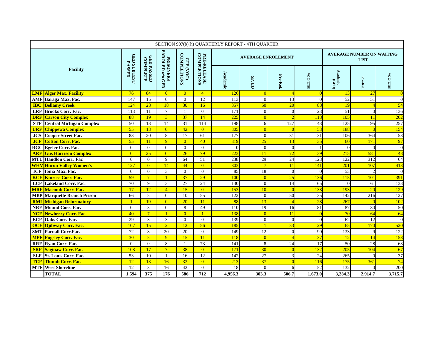| SECTION 907(b)(h) QUARTERLY REPORT - 4TH QUARTER |                                    |                              |                               |                                      |                                 |                            |          |                           |                  |                                                 |                   |                |                  |
|--------------------------------------------------|------------------------------------|------------------------------|-------------------------------|--------------------------------------|---------------------------------|----------------------------|----------|---------------------------|------------------|-------------------------------------------------|-------------------|----------------|------------------|
| <b>Facility</b>                                  |                                    |                              |                               | <b>PRISONERS<br/>PAROLED w/o GED</b> |                                 |                            |          | <b>AVERAGE ENROLLMENT</b> |                  | <b>AVERAGE NUMBER ON WAITING</b><br><b>LIST</b> |                   |                |                  |
|                                                  |                                    | GED SUBTEST<br><b>PASSED</b> | <b>GED PASSED</b><br>COMPLETE |                                      | <b>COMPLETIONS</b><br>CTE (VOC) | PRE-RELEASE<br>COMPLETIONS | Academic | SP.ED                     | Pre-Rel.         | VOC (CTE)                                       | Academic<br>(GED) | Pre-Rel.       | VOC (CTE)        |
|                                                  | <b>LMF</b> Alger Max. Facility     | 76                           | 84                            | $\overline{0}$                       | $\overline{0}$                  | $\overline{4}$             | 126      |                           | $\overline{A}$   |                                                 | 13                | 27             | $\overline{0}$   |
|                                                  | AMF Baraga Max. Fac.               | 147                          | 15                            | $\Omega$                             | $\Omega$                        | 12                         | 113      | $\Omega$                  | 13               | $\theta$                                        | 52                | 51             | $\boldsymbol{0}$ |
|                                                  | <b>IBC</b> Bellamy Creek           | 124                          | 28                            | 18                                   | 30                              | 16                         | 357      | 50                        | 20               | 88                                              | 19                |                | 54               |
| <b>LRF</b>                                       | <b>Brooks Corr. Fac.</b>           | 113                          | 11                            | $\overline{7}$                       | $\mathbf{1}$                    | $\mathbf{0}$               | 171      | $\overline{0}$            | $\boldsymbol{0}$ | 23                                              | 51                | $\Omega$       | 136              |
|                                                  | <b>DRF</b> Carson City Complex     | 88                           | 19                            | 3 <sup>1</sup>                       | 37                              | 14                         | 225      |                           |                  | 118                                             | 105               | 11             | 202              |
| <b>STF</b>                                       | <b>Central Michigan Complex</b>    | 50                           | 13                            | 14                                   | 31                              | 114                        | 198      | 6                         | 127              | 43                                              | 125               | 95             | 257              |
| <b>URF</b>                                       | <b>Chippewa Complex</b>            | 55                           | 13                            | $\overline{0}$                       | 42                              | $\overline{0}$             | 305      |                           |                  | 53                                              | 188               |                | 154              |
| <b>JCS</b>                                       | <b>Cooper Street Fac.</b>          | 83                           | 20                            | 8                                    | 17                              | 61                         | 177      | $\Omega$                  | 31               | $\overline{31}$                                 | 106               | 364            | 53               |
| <b>JCF</b>                                       | <b>Cotton Corr. Fac.</b>           | 55                           | 11                            | $\overline{q}$                       | $\overline{0}$                  | 40                         | 319      | 25                        | 13               | 35                                              | 60                | 171            | 97               |
|                                                  | RGC Egeler Corr. Fac.              | $\mathbf{0}$                 | $\Omega$                      | $\Omega$                             | $\Omega$                        | $\mathbf{0}$               | $\Omega$ | $\Omega$                  | $\overline{0}$   |                                                 | $\sqrt{ }$        | $\Omega$       | $\mathbf{0}$     |
|                                                  | <b>ARF Gus Harrison Complex</b>    | $\overline{0}$               | 25                            | $\overline{0}$                       | 26                              | 79                         | 223      | 11                        | 72               | 39                                              | 215               | 581            | 48               |
|                                                  | <b>MTU Handlon Corr. Fac</b>       | $\Omega$                     | $\Omega$                      | 9                                    | 64                              | 51                         | 238      | 29                        | 24               | 123                                             | 122               | 312            | 64               |
|                                                  | <b>WHV</b> Huron Valley Women's    | 127                          | $\overline{0}$                | 14                                   | 44                              | $\overline{0}$             | 303      |                           | 11               | 141                                             | 201               | 107            | 413              |
| <b>ICF</b>                                       | Ionia Max. Fac.                    | $\overline{0}$               | $\Omega$                      | 3                                    | $\overline{0}$                  | $\overline{0}$             | 85       | 18                        | $\overline{0}$   | $\theta$                                        | 53                | $\overline{2}$ | $\mathbf{0}$     |
|                                                  | <b>KCF Kinross Corr. Fac.</b>      | 59                           | $7\phantom{.0}$               | $\mathbf{1}$                         | 37                              | $\overline{29}$            | 100      | $\Omega$                  | 25               | 136                                             | 115               | 101            | 391              |
|                                                  | <b>LCF</b> Lakeland Corr. Fac.     | 70                           | 9                             | 3                                    | 27                              | 24                         | 130      | $\overline{0}$            | 14               | 65                                              |                   | 61             | 133              |
|                                                  | <b>MRF</b> Macomb Corr. Fac.       | 17                           | 12                            | $\overline{4}$                       | 15                              | $\overline{0}$             | 153      | 10                        | $\Omega$         | 138                                             | 193               | 20             | 129              |
|                                                  | <b>MBP</b> Marquette Branch Prison | 66                           | 5                             | $\Omega$                             | 10                              | $\overline{55}$            | 122      | $\overline{0}$            | 50               | 35                                              | 142               | 216            | 127              |
|                                                  | <b>RMI Michigan Reformatory</b>    | $\overline{1}$               | 19                            | $\overline{0}$                       | 20                              | 11                         | 88       | 13                        |                  | 28                                              | 267               |                | 102              |
|                                                  | <b>NRF</b> Mound Corr. Fac.        | $\overline{0}$               | 3                             | $\Omega$                             | 8                               | 49                         | 110      | 19                        | 16               | 81                                              | 87                | 30             | 50               |
|                                                  | <b>NCF</b> Newberry Corr. Fac.     | $\overline{40}$              | $7\overline{}$                | $\mathbf{1}$                         | $\overline{0}$                  | $\overline{1}$             | 138      |                           | 11               |                                                 | 70                | 64             | 64               |
| <b>ECF</b>                                       | Oaks Corr. Fac.                    | 29                           | $\overline{3}$                | 3                                    | $\Omega$                        | $\overline{0}$             | 139      | $\Omega$                  | $\boldsymbol{0}$ | $\mathbf{0}$                                    | 62                | 12             | $\mathbf{0}$     |
| <b>OCF</b>                                       | <b>Ojibway Corr. Fac.</b>          | 107                          | 15                            | $\overline{2}$                       | 12                              | 56                         | 185      |                           | 33               | 29                                              | 65                | 170            | 520              |
|                                                  | <b>SMT</b> Parnall Corr.Fac.       | 72                           | 8                             | 20                                   | 20                              | $\overline{0}$             | 149      | 12                        | $\mathbf{0}$     | 90                                              | 133               | Ç              | 122              |
| <b>MPF</b>                                       | <b>Pugsley Corr. Fac.</b>          | 30                           | $\sqrt{5}$                    | $\overline{9}$                       | 15                              | 11                         | 118      |                           |                  | 37                                              | 12                | 14             | 158              |
|                                                  | <b>RRF</b> Ryan Corr. Fac.         | $\overline{0}$               | $\theta$                      | 8                                    | 1                               | 73                         | 141      | 8                         | 24               | 17                                              | 50                | 28             | 63               |
|                                                  | <b>SRF</b> Saginaw Corr. Fac.      | 108                          | 17                            | $7\overline{ }$                      | 38                              | $\overline{0}$             | 171      | 30                        | $\sqrt{ }$       | 132                                             | 205               | 104            | 67               |
| <b>SLF</b>                                       | <b>St. Louis Corr. Fac.</b>        | 53                           | 10                            | $\mathbf{1}$                         | 16                              | 12                         | 142      | $\overline{27}$           | 3                | 24                                              | 265               | $\Omega$       | 37               |
|                                                  | <b>TCF Thumb Corr. Fac.</b>        | 12                           | 13                            | 16                                   | 33                              | $\overline{0}$             | 213      | $\overline{37}$           | $\sqrt{ }$       | 116                                             | 175               | 361            | 74               |
|                                                  | <b>MTF</b> West Shoreline          | 12                           | $\overline{3}$                | 16                                   | 42                              | $\overline{0}$             | 18       | $\Omega$                  |                  | 52                                              | 132               |                | 200              |
|                                                  | <b>TOTAL</b>                       | 1,594                        | $\overline{375}$              | 176                                  | 586                             | $\overline{712}$           | 4,956.3  | 303.3                     | 506.7            | 1,673.0                                         | 3,284.3           | 2,914.7        | 3,715.7          |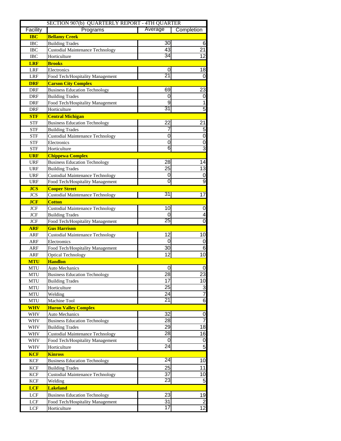|                           | SECTION 907(b) QUARTERLY REPORT - 4TH QUARTER |                 |                                  |
|---------------------------|-----------------------------------------------|-----------------|----------------------------------|
| Facility                  | Programs                                      | Average         | Completion                       |
| <b>IBC</b>                | <b>Bellamy Creek</b>                          |                 |                                  |
| <b>IBC</b>                | <b>Building Trades</b>                        | 30              | 6                                |
| <b>IBC</b>                | <b>Custodial Maintenance Technology</b>       | 43              | $\overline{21}$                  |
| <b>IBC</b>                | Horticulture                                  | $\overline{34}$ | $\overline{12}$                  |
| <b>LRF</b>                | <b>Brooks</b>                                 |                 |                                  |
| LRF                       | Electronics                                   | 0               | 18                               |
| LRF                       | Food Tech/Hospitality Management              | 21              | $\Omega$                         |
| <b>DRF</b>                | <b>Carson City Complex</b>                    |                 |                                  |
| DRF                       | <b>Business Education Technology</b>          | 69              | 23                               |
| DRF                       | <b>Building Trades</b>                        | 0               | $\mathsf{O}\xspace$              |
| DRF                       | Food Tech/Hospitality Management              | 9               | $\overline{1}$                   |
| <b>DRF</b>                | Horticulture                                  | $\overline{31}$ | $\overline{5}$                   |
| <b>STF</b>                | <b>Central Michigan</b>                       |                 |                                  |
| <b>STF</b>                | <b>Business Education Technology</b>          | $\overline{22}$ | $\overline{21}$                  |
| <b>STF</b>                | <b>Building Trades</b>                        | 7               | 5                                |
| <b>STF</b>                | <b>Custodial Maintenance Technology</b>       | 0               | O                                |
| <b>STF</b>                | Electronics                                   | 0               | $\overline{\mathbf{0}}$          |
| <b>STF</b>                | Horticulture                                  | 6               | 3                                |
| <b>URF</b>                | <b>Chippewa Complex</b>                       |                 |                                  |
| <b>URF</b>                | <b>Business Education Technology</b>          | 28              | 14                               |
| <b>URF</b>                | <b>Building Trades</b>                        | 25              | 13                               |
| <b>URF</b>                | <b>Custodial Maintenance Technology</b>       | 0               | $\mathsf{O}\xspace$              |
| <b>URF</b>                | Food Tech/Hospitality Management              | $\overline{0}$  | 9                                |
| <b>JCS</b>                | <b>Cooper Street</b>                          |                 |                                  |
| <b>JCS</b>                | <b>Custodial Maintenance Technology</b>       | 31              | $\overline{17}$                  |
| <b>JCF</b>                | <b>Cotton</b>                                 |                 |                                  |
| JCF                       | <b>Custodial Maintenance Technology</b>       | 10              | 0                                |
| JCF                       | <b>Building Trades</b>                        | 0               | $\overline{\mathbf{r}}$          |
| JCF                       | Food Tech/Hospitality Management              | 25              | $\overline{0}$                   |
| <b>ARF</b>                | <b>Gus Harrison</b>                           |                 |                                  |
| ARF                       | <b>Custodial Maintenance Technology</b>       | 12              | 10                               |
| ARF                       | Electromics                                   | 0               | $\pmb{0}$                        |
| ARF                       | Food Tech/Hospitality Management              | 30              | 6                                |
|                           |                                               | 12              | 10                               |
| ARF<br><b>MTU</b>         | <b>Optical Technology</b><br><b>Handlon</b>   |                 |                                  |
|                           |                                               | 01              | 0                                |
| MTU                       | Auto Mechanics                                |                 |                                  |
| <b>MTU</b>                | <b>Business Education Technology</b>          | 28<br>17        | 23<br>10                         |
| <b>MTU</b>                | <b>Building Trades</b>                        | 25              |                                  |
| MTU                       | Horticulture                                  |                 | $\overline{3}$<br>7              |
| $\operatorname{MTU}$      | Welding                                       | 24<br>21        | 6                                |
| MTU                       | Machine Tool                                  |                 |                                  |
| <b>WHV</b>                | <b>Huron Valley Complex</b>                   |                 |                                  |
| WHV                       | <b>Auto Mechanics</b>                         | $\overline{32}$ | $\overline{0}$<br>$\overline{7}$ |
| WHV                       | <b>Business Education Technology</b>          | 28              |                                  |
| WHV                       | <b>Building Trades</b>                        | 29              | 18                               |
| WHV                       | <b>Custodial Maintenance Technology</b>       | 28              | 16                               |
| WHV                       | Food Tech/Hospitality Management              | 0               | $\mathsf{O}\xspace$              |
| <b>WHV</b>                | Horticulture                                  | $\overline{24}$ | 5                                |
| <b>KCF</b>                | <b>Kinross</b>                                |                 |                                  |
| $\ensuremath{\text{KCF}}$ | <b>Business Education Technology</b>          | $\overline{24}$ | 10                               |
| $\ensuremath{\text{KCF}}$ | <b>Building Trades</b>                        | 25              | 11                               |
| $\ensuremath{\text{KCF}}$ | <b>Custodial Maintenance Technology</b>       | 37              | 10                               |
| <b>KCF</b>                | Welding                                       | 23              | 5                                |
| <b>LCF</b>                | <b>Lakeland</b>                               |                 |                                  |
| $_{\rm LCF}$              | <b>Business Education Technology</b>          | 23              | 19                               |
| LCF                       | Food Tech/Hospitality Management              | 31              | $\overline{2}$                   |
| $_{\rm LCF}$              | Horticulture                                  | 17              | $\overline{12}$                  |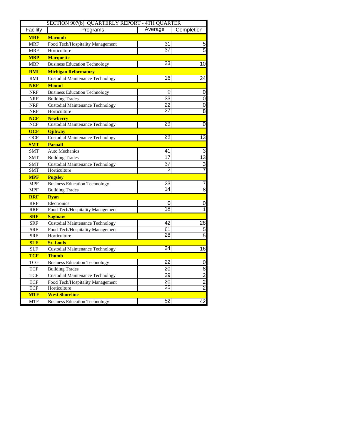|            | SECTION 907(b) QUARTERLY REPORT - 4TH QUARTER |                 |                             |  |  |  |  |
|------------|-----------------------------------------------|-----------------|-----------------------------|--|--|--|--|
| Facility   | Programs                                      | Average         | Completion                  |  |  |  |  |
| <b>MRF</b> | <b>Macomb</b>                                 |                 |                             |  |  |  |  |
| <b>MRF</b> | Food Tech/Hospitality Management              | 31              | 5                           |  |  |  |  |
| <b>MRF</b> | Horticulture                                  | 37              | 5                           |  |  |  |  |
| <b>MBP</b> | <b>Marquette</b>                              |                 |                             |  |  |  |  |
| <b>MBP</b> | <b>Business Education Technology</b>          | 23              | 10                          |  |  |  |  |
| <b>RMI</b> | <b>Michigan Reformatory</b>                   |                 |                             |  |  |  |  |
| RMI        | <b>Custodial Maintenance Technology</b>       | 16              | 24                          |  |  |  |  |
| <b>NRF</b> | <b>Mound</b>                                  |                 |                             |  |  |  |  |
| <b>NRF</b> | <b>Business Education Technology</b>          | 0               | 0                           |  |  |  |  |
| <b>NRF</b> | <b>Building Trades</b>                        | $\overline{33}$ | $\overline{0}$              |  |  |  |  |
| <b>NRF</b> | <b>Custodial Maintenance Technology</b>       | 22              | $\overline{0}$              |  |  |  |  |
| <b>NRF</b> | Horticulture                                  | 27              | 8                           |  |  |  |  |
| <b>NCF</b> | <b>Newberry</b>                               |                 |                             |  |  |  |  |
| <b>NCF</b> | <b>Custodial Maintenance Technology</b>       | 29              | $\overline{0}$              |  |  |  |  |
| <b>OCF</b> | <b>Ojibway</b>                                |                 |                             |  |  |  |  |
| <b>OCF</b> | <b>Custodial Maintenance Technology</b>       | 29              | $\overline{13}$             |  |  |  |  |
| <b>SMT</b> | <b>Parnall</b>                                |                 |                             |  |  |  |  |
| <b>SMT</b> | <b>Auto Mechanics</b>                         | 41              | 3                           |  |  |  |  |
| <b>SMT</b> | <b>Building Trades</b>                        | 17              | $\overline{13}$             |  |  |  |  |
| <b>SMT</b> | <b>Custodial Maintenance Technology</b>       | 37              | $\overline{3}$              |  |  |  |  |
| <b>SMT</b> | Horticulture                                  | 2               | 7                           |  |  |  |  |
| <b>MPF</b> | <b>Pugsley</b>                                |                 |                             |  |  |  |  |
| <b>MPF</b> | <b>Business Education Technology</b>          | 23              | 7                           |  |  |  |  |
| <b>MPF</b> | <b>Building Trades</b>                        | 14              | $\overline{8}$              |  |  |  |  |
| <b>RRF</b> | <b>Rvan</b>                                   |                 |                             |  |  |  |  |
| <b>RRF</b> | Electronics                                   | 0               | 0                           |  |  |  |  |
| <b>RRF</b> | Food Tech/Hospitality Management              | 18              | $\overline{1}$              |  |  |  |  |
| <b>SRF</b> | <b>Saginaw</b>                                |                 |                             |  |  |  |  |
| <b>SRF</b> | <b>Custodial Maintenance Technology</b>       | 42              | 28                          |  |  |  |  |
| <b>SRF</b> | Food Tech/Hospitality Management              | 61              | $\overline{5}$              |  |  |  |  |
| <b>SRF</b> | Horticulture                                  | 28              | $\overline{5}$              |  |  |  |  |
| <b>SLF</b> | <b>St. Louis</b>                              |                 |                             |  |  |  |  |
| <b>SLF</b> | <b>Custodial Maintenance Technology</b>       | 24              | $\overline{6}$              |  |  |  |  |
| <b>TCF</b> | <b>Thumb</b>                                  |                 |                             |  |  |  |  |
| <b>TCG</b> | <b>Business Education Technology</b>          | 22              | $\mathbf 0$                 |  |  |  |  |
| <b>TCF</b> | <b>Building Trades</b>                        | 20              |                             |  |  |  |  |
| <b>TCF</b> | <b>Custodial Maintenance Technology</b>       | 29              | $\frac{8}{2}$ $\frac{2}{2}$ |  |  |  |  |
| <b>TCF</b> | Food Tech/Hospitality Management              | 20              |                             |  |  |  |  |
| <b>TCF</b> | Horticulture                                  | 25              |                             |  |  |  |  |
| <b>MTF</b> | <b>West Shoreline</b>                         |                 |                             |  |  |  |  |
| <b>MTF</b> | <b>Business Education Technology</b>          | 52              | 42                          |  |  |  |  |